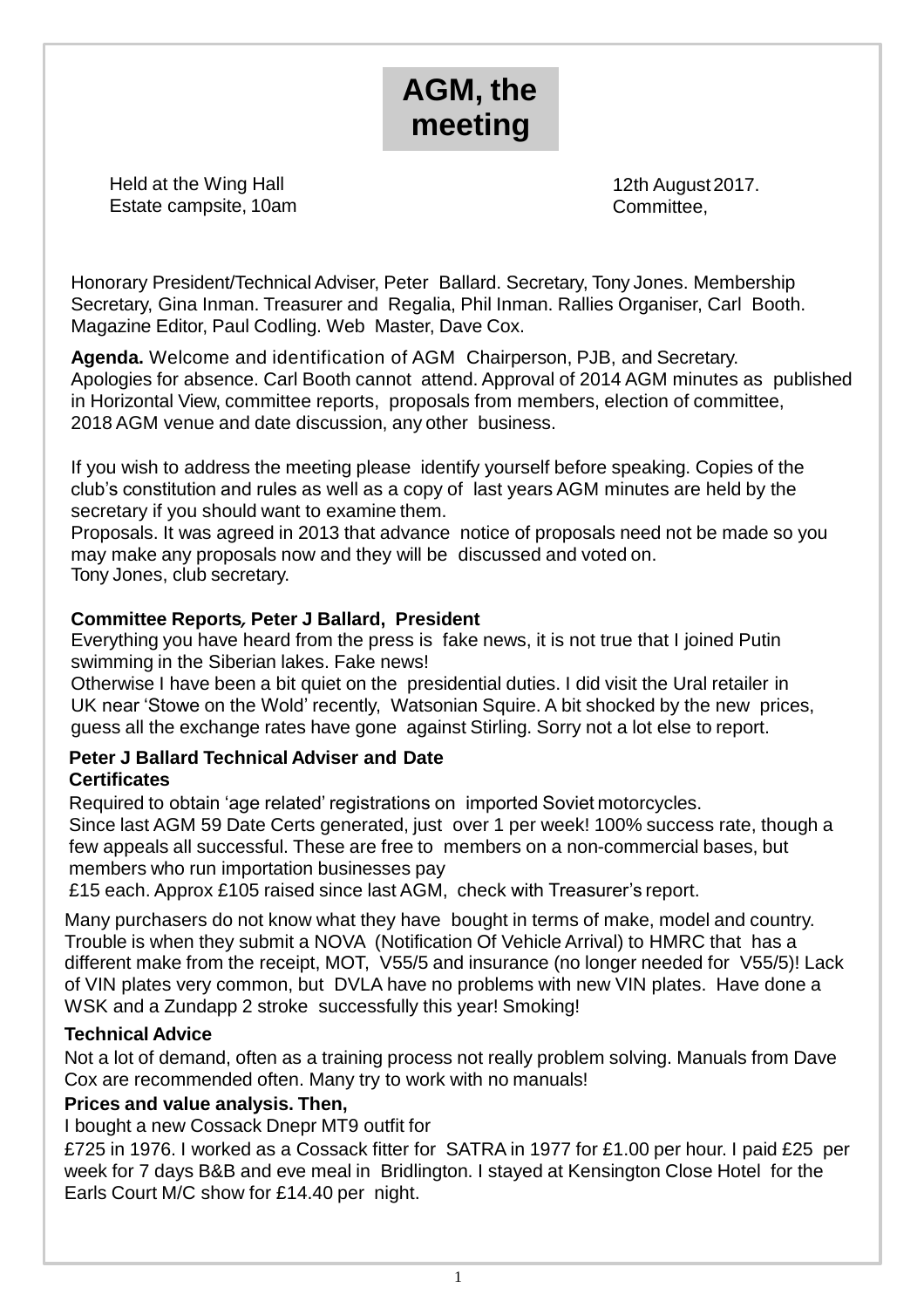# **AGM, the meeting**

Held at the Wing Hall Estate campsite, 10am

12th August2017. Committee,

Honorary President/Technical Adviser, Peter Ballard. Secretary, Tony Jones. Membership Secretary, Gina Inman. Treasurer and Regalia, Phil Inman. Rallies Organiser, Carl Booth. Magazine Editor, Paul Codling. Web Master, Dave Cox.

**Agenda.** Welcome and identification of AGM Chairperson, PJB, and Secretary. Apologies for absence. Carl Booth cannot attend. Approval of 2014 AGM minutes as published in Horizontal View, committee reports, proposals from members, election of committee, 2018 AGM venue and date discussion, any other business.

If you wish to address the meeting please identify yourself before speaking. Copies of the club's constitution and rules as well as a copy of last years AGM minutes are held by the secretary if you should want to examine them.

Proposals. It was agreed in 2013 that advance notice of proposals need not be made so you may make any proposals now and they will be discussed and voted on. Tony Jones, club secretary.

# **Committee Reports***,* **Peter J Ballard, President**

Everything you have heard from the press is fake news, it is not true that I joined Putin swimming in the Siberian lakes. Fake news!

Otherwise I have been a bit quiet on the presidential duties. I did visit the Ural retailer in UK near 'Stowe on the Wold' recently, Watsonian Squire. A bit shocked by the new prices, guess all the exchange rates have gone against Stirling. Sorry not a lot else to report.

#### **Peter J Ballard Technical Adviser and Date Certificates**

Required to obtain 'age related' registrations on imported Soviet motorcycles. Since last AGM 59 Date Certs generated, just over 1 per week! 100% success rate, though a few appeals all successful. These are free to members on a non-commercial bases, but members who run importation businesses pay

£15 each. Approx £105 raised since last AGM, check with Treasurer's report.

Many purchasers do not know what they have bought in terms of make, model and country. Trouble is when they submit a NOVA (Notification Of Vehicle Arrival) to HMRC that has a different make from the receipt, MOT, V55/5 and insurance (no longer needed for V55/5)! Lack of VIN plates very common, but DVLA have no problems with new VIN plates. Have done a WSK and a Zundapp 2 stroke successfully this year! Smoking!

## **Technical Advice**

Not a lot of demand, often as a training process not really problem solving. Manuals from Dave Cox are recommended often. Many try to work with no manuals!

## **Prices and value analysis. Then,**

I bought a new Cossack Dnepr MT9 outfit for

£725 in 1976. I worked as a Cossack fitter for SATRA in 1977 for £1.00 per hour. I paid £25 per week for 7 days B&B and eve meal in Bridlington. I stayed at Kensington Close Hotel for the Earls Court M/C show for £14.40 per night.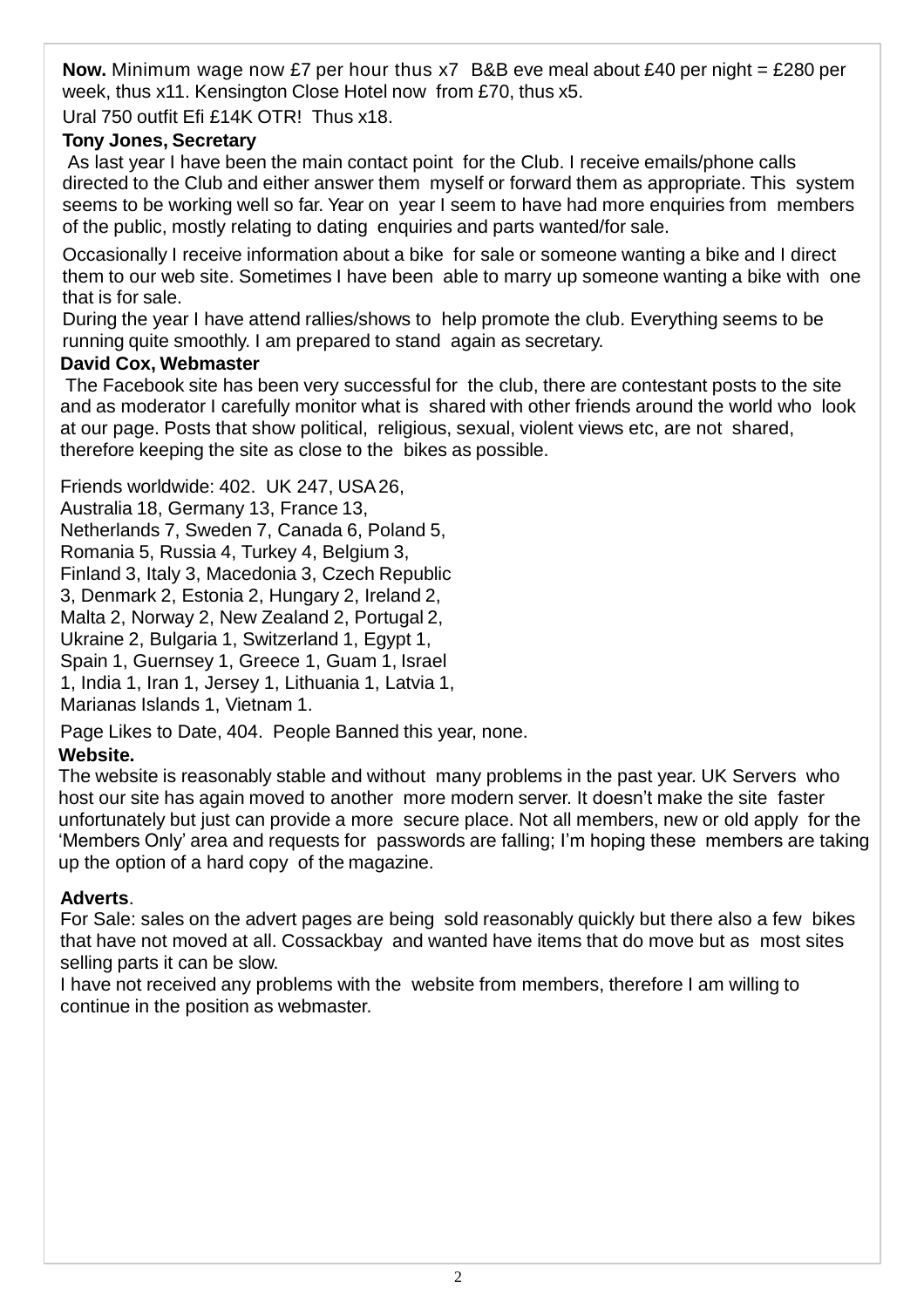**Now.** Minimum wage now £7 per hour thus x7 B&B eve meal about £40 per night = £280 per week, thus x11. Kensington Close Hotel now from £70, thus x5.

Ural 750 outfit Efi £14K OTR! Thus x18.

## **Tony Jones, Secretary**

As last year I have been the main contact point for the Club. I receive emails/phone calls directed to the Club and either answer them myself or forward them as appropriate. This system seems to be working well so far. Year on year I seem to have had more enquiries from members of the public, mostly relating to dating enquiries and parts wanted/for sale.

Occasionally I receive information about a bike for sale or someone wanting a bike and I direct them to our web site. Sometimes I have been able to marry up someone wanting a bike with one that is for sale.

During the year I have attend rallies/shows to help promote the club. Everything seems to be running quite smoothly. I am prepared to stand again as secretary.

## **David Cox, Webmaster**

The Facebook site has been very successful for the club, there are contestant posts to the site and as moderator I carefully monitor what is shared with other friends around the world who look at our page. Posts that show political, religious, sexual, violent views etc, are not shared, therefore keeping the site as close to the bikes as possible.

Friends worldwide: 402. UK 247, USA26, Australia 18, Germany 13, France 13, Netherlands 7, Sweden 7, Canada 6, Poland 5, Romania 5, Russia 4, Turkey 4, Belgium 3, Finland 3, Italy 3, Macedonia 3, Czech Republic 3, Denmark 2, Estonia 2, Hungary 2, Ireland 2, Malta 2, Norway 2, New Zealand 2, Portugal 2, Ukraine 2, Bulgaria 1, Switzerland 1, Egypt 1, Spain 1, Guernsey 1, Greece 1, Guam 1, Israel 1, India 1, Iran 1, Jersey 1, Lithuania 1, Latvia 1, Marianas Islands 1, Vietnam 1.

Page Likes to Date, 404. People Banned this year, none.

# **Website.**

The website is reasonably stable and without many problems in the past year. UK Servers who host our site has again moved to another more modern server. It doesn't make the site faster unfortunately but just can provide a more secure place. Not all members, new or old apply for the 'Members Only' area and requests for passwords are falling; I'm hoping these members are taking up the option of a hard copy of the magazine.

# **Adverts**.

For Sale: sales on the advert pages are being sold reasonably quickly but there also a few bikes that have not moved at all. Cossackbay and wanted have items that do move but as most sites selling parts it can be slow.

I have not received any problems with the website from members, therefore I am willing to continue in the position as webmaster.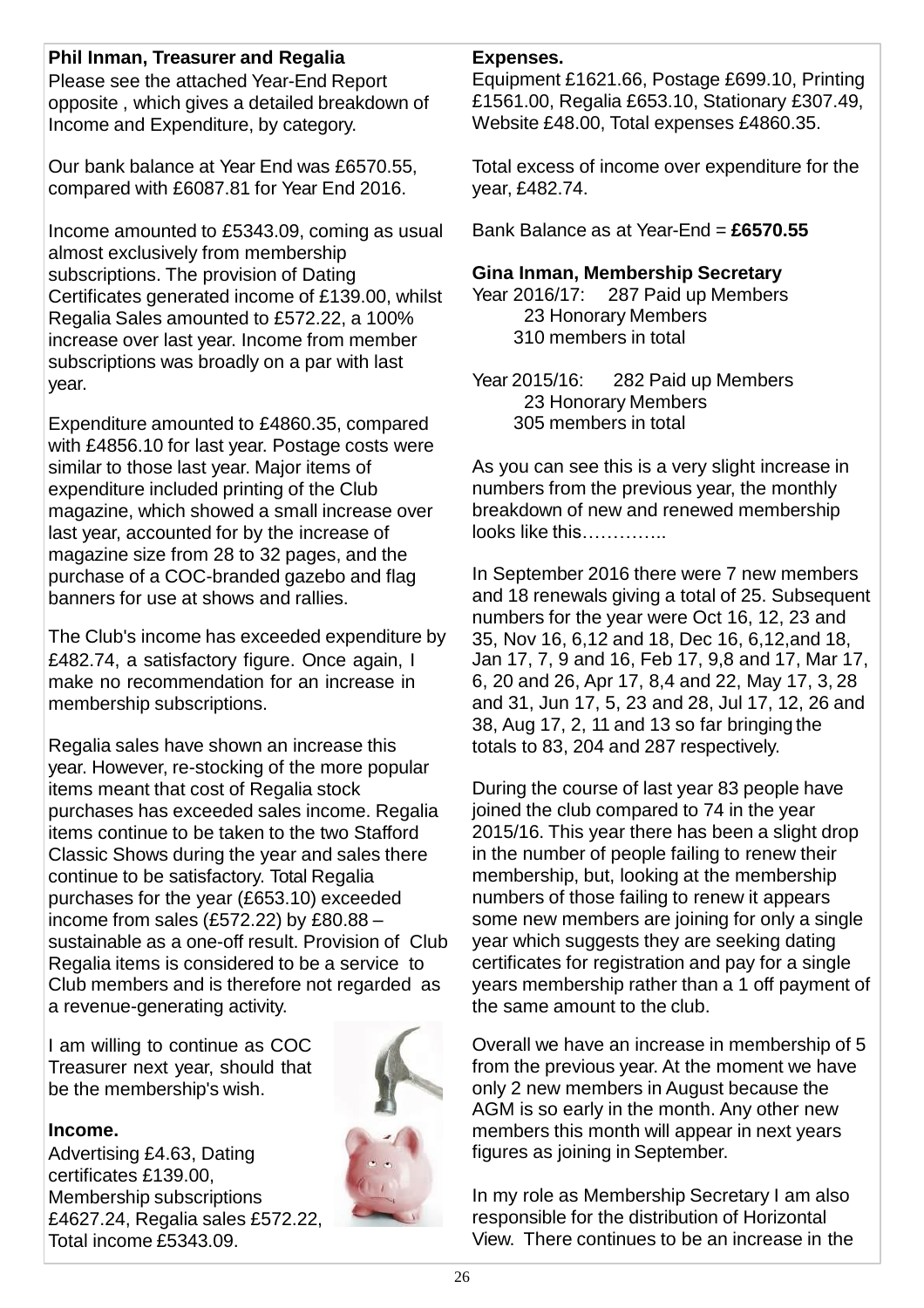# **Phil Inman, Treasurer and Regalia**

Please see the attached Year-End Report opposite , which gives a detailed breakdown of Income and Expenditure, by category.

Our bank balance at Year End was £6570.55, compared with £6087.81 for Year End 2016.

Income amounted to £5343.09, coming as usual almost exclusively from membership subscriptions. The provision of Dating Certificates generated income of £139.00, whilst Regalia Sales amounted to £572.22, a 100% increase over last year. Income from member subscriptions was broadly on a par with last year.

Expenditure amounted to £4860.35, compared with £4856.10 for last year. Postage costs were similar to those last year. Major items of expenditure included printing of the Club magazine, which showed a small increase over last year, accounted for by the increase of magazine size from 28 to 32 pages, and the purchase of a COC-branded gazebo and flag banners for use at shows and rallies.

The Club's income has exceeded expenditure by £482.74, a satisfactory figure. Once again, I make no recommendation for an increase in membership subscriptions.

Regalia sales have shown an increase this year. However, re-stocking of the more popular items meant that cost of Regalia stock purchases has exceeded sales income. Regalia items continue to be taken to the two Stafford Classic Shows during the year and sales there continue to be satisfactory. Total Regalia purchases for the year (£653.10) exceeded income from sales (£572.22) by £80.88 – sustainable as a one-off result. Provision of Club Regalia items is considered to be a service to Club members and is therefore not regarded as a revenue-generating activity.

I am willing to continue as COC Treasurer next year, should that be the membership's wish.

## **Income.**

Advertising £4.63, Dating certificates £139.00, Membership subscriptions £4627.24, Regalia sales £572.22, Total income £5343.09.





#### **Expenses.**

Equipment £1621.66, Postage £699.10, Printing £1561.00, Regalia £653.10, Stationary £307.49, Website £48.00, Total expenses £4860.35.

Total excess of income over expenditure for the year, £482.74.

Bank Balance as at Year-End = **£6570.55**

#### **Gina Inman, Membership Secretary**

Year 2016/17: 287 Paid up Members 23 Honorary Members 310 members in total

Year 2015/16: 282 Paid up Members 23 Honorary Members 305 members in total

As you can see this is a very slight increase in numbers from the previous year, the monthly breakdown of new and renewed membership looks like this…………..

In September 2016 there were 7 new members and 18 renewals giving a total of 25. Subsequent numbers for the year were Oct 16, 12, 23 and 35, Nov 16, 6,12 and 18, Dec 16, 6,12,and 18, Jan 17, 7, 9 and 16, Feb 17, 9,8 and 17, Mar 17, 6, 20 and 26, Apr 17, 8,4 and 22, May 17, 3, 28 and 31, Jun 17, 5, 23 and 28, Jul 17, 12, 26 and 38, Aug 17, 2, 11 and 13 so far bringing the totals to 83, 204 and 287 respectively.

During the course of last year 83 people have joined the club compared to 74 in the year 2015/16. This year there has been a slight drop in the number of people failing to renew their membership, but, looking at the membership numbers of those failing to renew it appears some new members are joining for only a single year which suggests they are seeking dating certificates for registration and pay for a single years membership rather than a 1 off payment of the same amount to the club.

Overall we have an increase in membership of 5 from the previous year. At the moment we have only 2 new members in August because the AGM is so early in the month. Any other new members this month will appear in next years figures as joining in September.

In my role as Membership Secretary I am also responsible for the distribution of Horizontal View. There continues to be an increase in the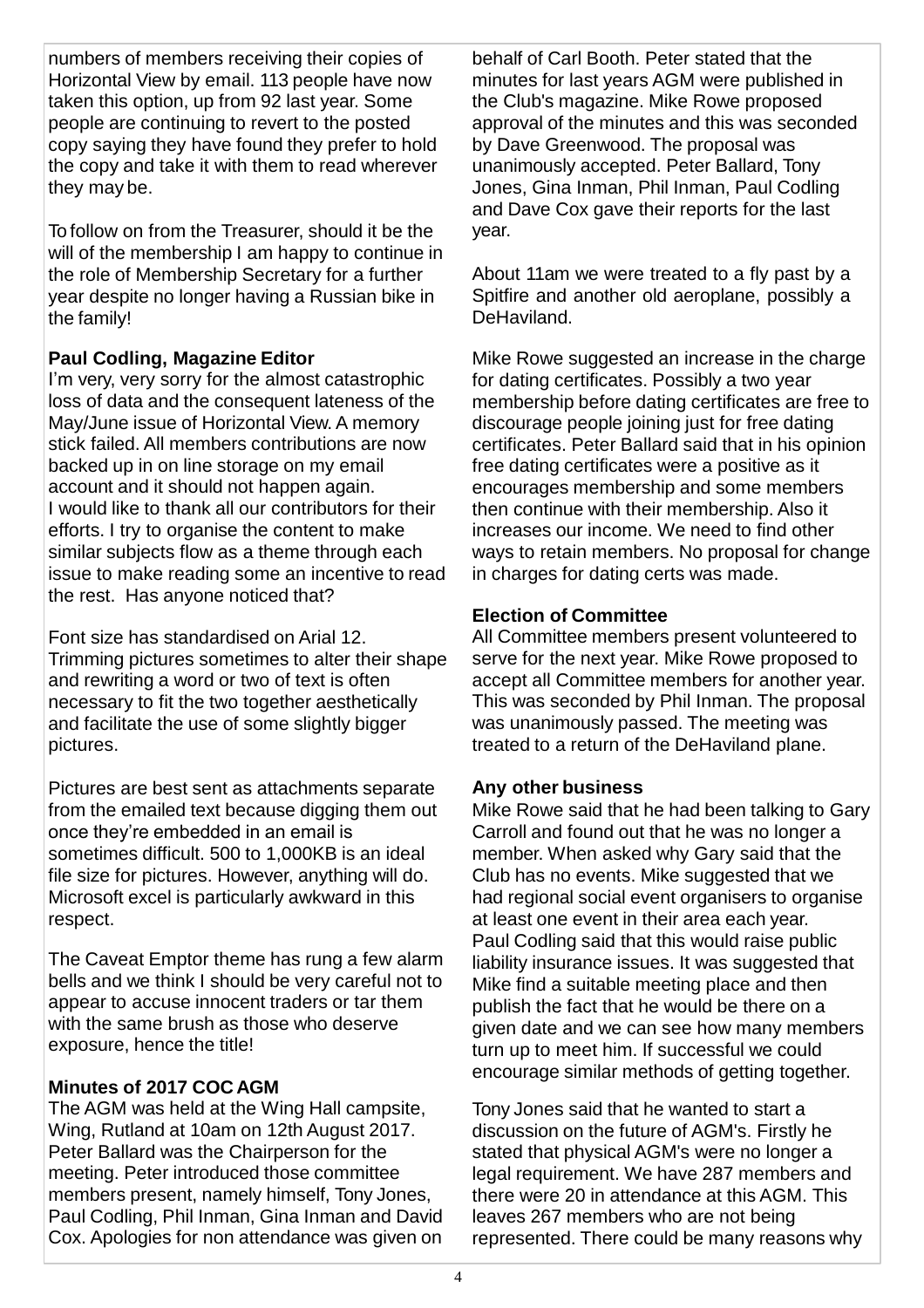numbers of members receiving their copies of Horizontal View by email. 113 people have now taken this option, up from 92 last year. Some people are continuing to revert to the posted copy saying they have found they prefer to hold the copy and take it with them to read wherever they may be.

To follow on from the Treasurer, should it be the will of the membership I am happy to continue in the role of Membership Secretary for a further year despite no longer having a Russian bike in the family!

## **Paul Codling, Magazine Editor**

I'm very, very sorry for the almost catastrophic loss of data and the consequent lateness of the May/June issue of Horizontal View. A memory stick failed. All members contributions are now backed up in on line storage on my email account and it should not happen again. I would like to thank all our contributors for their efforts. I try to organise the content to make similar subjects flow as a theme through each issue to make reading some an incentive to read the rest. Has anyone noticed that?

Font size has standardised on Arial 12. Trimming pictures sometimes to alter their shape and rewriting a word or two of text is often necessary to fit the two together aesthetically and facilitate the use of some slightly bigger pictures.

Pictures are best sent as attachments separate from the emailed text because digging them out once they're embedded in an email is sometimes difficult. 500 to 1,000KB is an ideal file size for pictures. However, anything will do. Microsoft excel is particularly awkward in this respect.

The Caveat Emptor theme has rung a few alarm bells and we think I should be very careful not to appear to accuse innocent traders or tar them with the same brush as those who deserve exposure, hence the title!

## **Minutes of 2017 COC AGM**

The AGM was held at the Wing Hall campsite, Wing, Rutland at 10am on 12th August 2017. Peter Ballard was the Chairperson for the meeting. Peter introduced those committee members present, namely himself, Tony Jones, Paul Codling, Phil Inman, Gina Inman and David Cox. Apologies for non attendance was given on behalf of Carl Booth. Peter stated that the minutes for last years AGM were published in the Club's magazine. Mike Rowe proposed approval of the minutes and this was seconded by Dave Greenwood. The proposal was unanimously accepted. Peter Ballard, Tony Jones, Gina Inman, Phil Inman, Paul Codling and Dave Cox gave their reports for the last year.

About 11am we were treated to a fly past by a Spitfire and another old aeroplane, possibly a DeHaviland.

Mike Rowe suggested an increase in the charge for dating certificates. Possibly a two year membership before dating certificates are free to discourage people joining just for free dating certificates. Peter Ballard said that in his opinion free dating certificates were a positive as it encourages membership and some members then continue with their membership. Also it increases our income. We need to find other ways to retain members. No proposal for change in charges for dating certs was made.

## **Election of Committee**

All Committee members present volunteered to serve for the next year. Mike Rowe proposed to accept all Committee members for another year. This was seconded by Phil Inman. The proposal was unanimously passed. The meeting was treated to a return of the DeHaviland plane.

## **Any other business**

Mike Rowe said that he had been talking to Gary Carroll and found out that he was no longer a member. When asked why Gary said that the Club has no events. Mike suggested that we had regional social event organisers to organise at least one event in their area each year. Paul Codling said that this would raise public liability insurance issues. It was suggested that Mike find a suitable meeting place and then publish the fact that he would be there on a given date and we can see how many members turn up to meet him. If successful we could encourage similar methods of getting together.

Tony Jones said that he wanted to start a discussion on the future of AGM's. Firstly he stated that physical AGM's were no longer a legal requirement. We have 287 members and there were 20 in attendance at this AGM. This leaves 267 members who are not being represented. There could be many reasons why